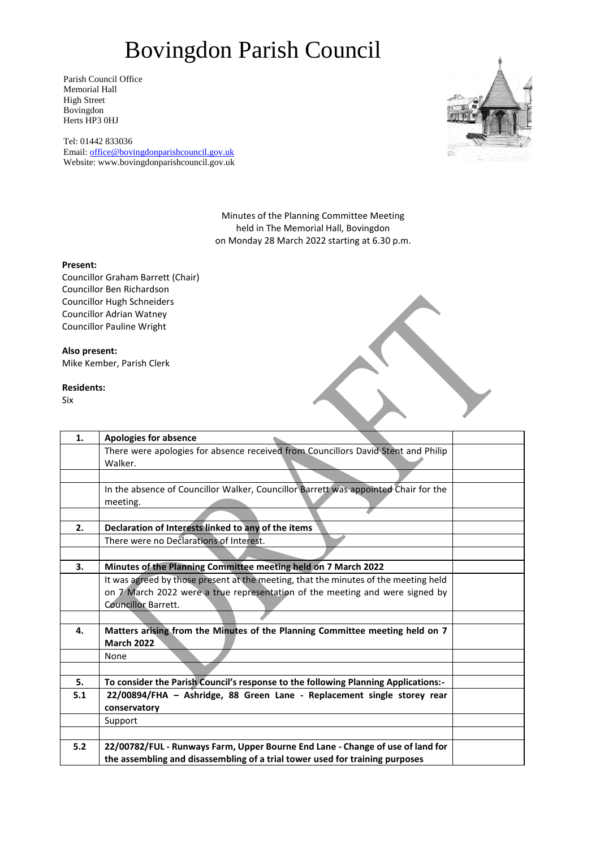Parish Council Office Memorial Hall High Street Bovingdon Herts HP3 0HJ

Tel: 01442 833036 Email: [office@bovingdonparishcouncil.gov.uk](mailto:office@bovingdonparishcouncil.gov.uk) Website: www.bovingdonparishcouncil.gov.uk



Minutes of the Planning Committee Meeting held in The Memorial Hall, Bovingdon on Monday 28 March 2022 starting at 6.30 p.m.

#### **Present:**

Councillor Graham Barrett (Chair) Councillor Ben Richardson Councillor Hugh Schneiders Councillor Adrian Watney Councillor Pauline Wright

### **Also present:**

Mike Kember, Parish Clerk

#### **Residents:**

Six

| 1.  | <b>Apologies for absence</b>                                                        |
|-----|-------------------------------------------------------------------------------------|
|     | There were apologies for absence received from Councillors David Stent and Philip   |
|     | Walker.                                                                             |
|     |                                                                                     |
|     | In the absence of Councillor Walker, Councillor Barrett was appointed Chair for the |
|     | meeting.                                                                            |
|     |                                                                                     |
| 2.  | Declaration of Interests linked to any of the items                                 |
|     | There were no Declarations of Interest.                                             |
|     |                                                                                     |
| 3.  | Minutes of the Planning Committee meeting held on 7 March 2022                      |
|     | It was agreed by those present at the meeting, that the minutes of the meeting held |
|     | on 7 March 2022 were a true representation of the meeting and were signed by        |
|     | <b>Councillor Barrett.</b>                                                          |
|     |                                                                                     |
| 4.  | Matters arising from the Minutes of the Planning Committee meeting held on 7        |
|     | <b>March 2022</b>                                                                   |
|     | None                                                                                |
|     |                                                                                     |
| 5.  | To consider the Parish Council's response to the following Planning Applications:-  |
| 5.1 | 22/00894/FHA - Ashridge, 88 Green Lane - Replacement single storey rear             |
|     | conservatory                                                                        |
|     | Support                                                                             |
|     |                                                                                     |
| 5.2 | 22/00782/FUL - Runways Farm, Upper Bourne End Lane - Change of use of land for      |
|     | the assembling and disassembling of a trial tower used for training purposes        |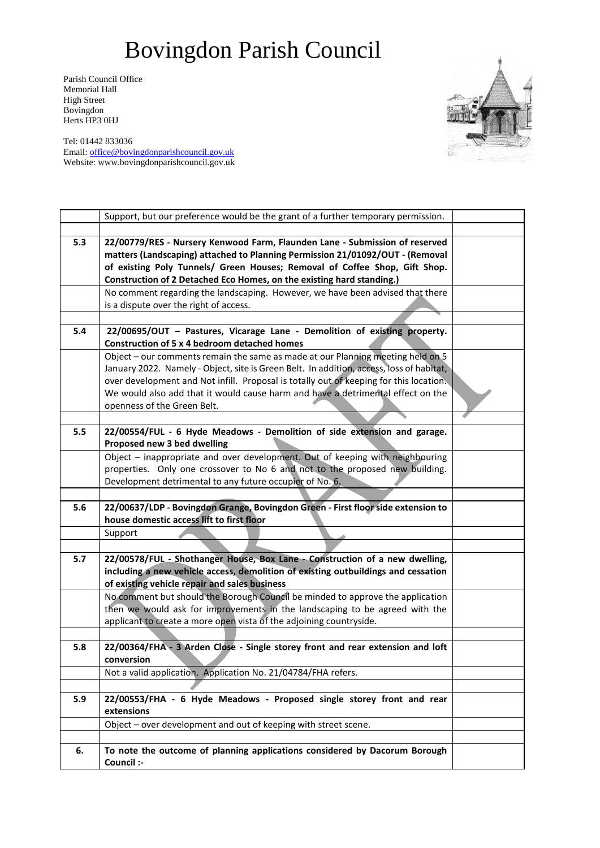Parish Council Office Memorial Hall High Street Bovingdon Herts HP3 0HJ

Tel: 01442 833036 Email: [office@bovingdonparishcouncil.gov.uk](mailto:office@bovingdonparishcouncil.gov.uk) Website: www.bovingdonparishcouncil.gov.uk

|     | Support, but our preference would be the grant of a further temporary permission.                                                                                                                                                                                                                                                                                                       |  |
|-----|-----------------------------------------------------------------------------------------------------------------------------------------------------------------------------------------------------------------------------------------------------------------------------------------------------------------------------------------------------------------------------------------|--|
|     |                                                                                                                                                                                                                                                                                                                                                                                         |  |
| 5.3 | 22/00779/RES - Nursery Kenwood Farm, Flaunden Lane - Submission of reserved<br>matters (Landscaping) attached to Planning Permission 21/01092/OUT - (Removal<br>of existing Poly Tunnels/ Green Houses; Removal of Coffee Shop, Gift Shop.<br>Construction of 2 Detached Eco Homes, on the existing hard standing.)                                                                     |  |
|     | No comment regarding the landscaping. However, we have been advised that there<br>is a dispute over the right of access.                                                                                                                                                                                                                                                                |  |
|     |                                                                                                                                                                                                                                                                                                                                                                                         |  |
| 5.4 | 22/00695/OUT - Pastures, Vicarage Lane - Demolition of existing property.<br>Construction of 5 x 4 bedroom detached homes                                                                                                                                                                                                                                                               |  |
|     | Object - our comments remain the same as made at our Planning meeting held on 5<br>January 2022. Namely - Object, site is Green Belt. In addition, access, loss of habitat,<br>over development and Not infill. Proposal is totally out of keeping for this location.<br>We would also add that it would cause harm and have a detrimental effect on the<br>openness of the Green Belt. |  |
|     |                                                                                                                                                                                                                                                                                                                                                                                         |  |
| 5.5 | 22/00554/FUL - 6 Hyde Meadows - Demolition of side extension and garage.<br>Proposed new 3 bed dwelling                                                                                                                                                                                                                                                                                 |  |
|     | Object - inappropriate and over development. Out of keeping with neighbouring<br>properties. Only one crossover to No 6 and not to the proposed new building.<br>Development detrimental to any future occupier of No. 6.                                                                                                                                                               |  |
|     |                                                                                                                                                                                                                                                                                                                                                                                         |  |
| 5.6 | 22/00637/LDP - Bovingdon Grange, Bovingdon Green - First floor side extension to<br>house domestic access lift to first floor                                                                                                                                                                                                                                                           |  |
|     | Support                                                                                                                                                                                                                                                                                                                                                                                 |  |
|     |                                                                                                                                                                                                                                                                                                                                                                                         |  |
| 5.7 | 22/00578/FUL - Shothanger House, Box Lane - Construction of a new dwelling,<br>including a new vehicle access, demolition of existing outbuildings and cessation<br>of existing vehicle repair and sales business                                                                                                                                                                       |  |
|     | No comment but should the Borough Council be minded to approve the application<br>then we would ask for improvements in the landscaping to be agreed with the<br>applicant to create a more open vista of the adjoining countryside.                                                                                                                                                    |  |
| 5.8 | 22/00364/FHA - 3 Arden Close - Single storey front and rear extension and loft<br>conversion                                                                                                                                                                                                                                                                                            |  |
|     | Not a valid application. Application No. 21/04784/FHA refers.                                                                                                                                                                                                                                                                                                                           |  |
|     |                                                                                                                                                                                                                                                                                                                                                                                         |  |
| 5.9 | 22/00553/FHA - 6 Hyde Meadows - Proposed single storey front and rear<br>extensions                                                                                                                                                                                                                                                                                                     |  |
|     | Object - over development and out of keeping with street scene.                                                                                                                                                                                                                                                                                                                         |  |
|     |                                                                                                                                                                                                                                                                                                                                                                                         |  |
| 6.  | To note the outcome of planning applications considered by Dacorum Borough<br>Council :-                                                                                                                                                                                                                                                                                                |  |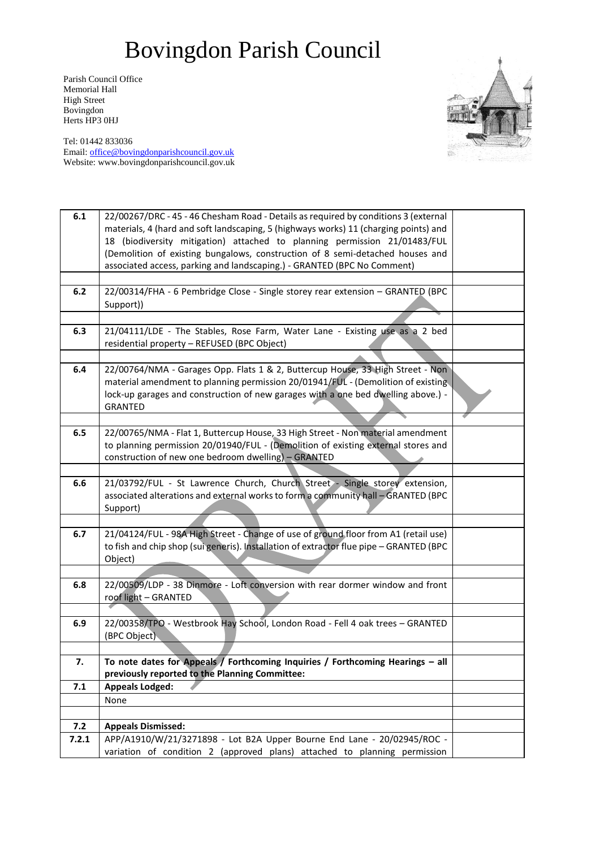Parish Council Office Memorial Hall High Street Bovingdon Herts HP3 0HJ



Tel: 01442 833036 Email: [office@bovingdonparishcouncil.gov.uk](mailto:office@bovingdonparishcouncil.gov.uk) Website: www.bovingdonparishcouncil.gov.uk

| 6.1   | 22/00267/DRC - 45 - 46 Chesham Road - Details as required by conditions 3 (external<br>materials, 4 (hard and soft landscaping, 5 (highways works) 11 (charging points) and |  |
|-------|-----------------------------------------------------------------------------------------------------------------------------------------------------------------------------|--|
|       | 18 (biodiversity mitigation) attached to planning permission 21/01483/FUL<br>(Demolition of existing bungalows, construction of 8 semi-detached houses and                  |  |
|       | associated access, parking and landscaping.) - GRANTED (BPC No Comment)                                                                                                     |  |
|       |                                                                                                                                                                             |  |
| 6.2   | 22/00314/FHA - 6 Pembridge Close - Single storey rear extension - GRANTED (BPC<br>Support))                                                                                 |  |
|       |                                                                                                                                                                             |  |
| 6.3   | 21/04111/LDE - The Stables, Rose Farm, Water Lane - Existing use as a 2 bed<br>residential property - REFUSED (BPC Object)                                                  |  |
|       |                                                                                                                                                                             |  |
| 6.4   | 22/00764/NMA - Garages Opp. Flats 1 & 2, Buttercup House, 33 High Street - Non                                                                                              |  |
|       | material amendment to planning permission 20/01941/FUL - (Demolition of existing<br>lock-up garages and construction of new garages with a one bed dwelling above.) -       |  |
|       | <b>GRANTED</b>                                                                                                                                                              |  |
|       |                                                                                                                                                                             |  |
| 6.5   | 22/00765/NMA - Flat 1, Buttercup House, 33 High Street - Non material amendment                                                                                             |  |
|       | to planning permission 20/01940/FUL - (Demolition of existing external stores and                                                                                           |  |
|       | construction of new one bedroom dwelling) - GRANTED                                                                                                                         |  |
| 6.6   | 21/03792/FUL - St Lawrence Church, Church Street - Single storey extension,                                                                                                 |  |
|       | associated alterations and external works to form a community hall - GRANTED (BPC<br>Support)                                                                               |  |
|       |                                                                                                                                                                             |  |
| 6.7   | 21/04124/FUL - 98A High Street - Change of use of ground floor from A1 (retail use)                                                                                         |  |
|       | to fish and chip shop (sui generis). Installation of extractor flue pipe - GRANTED (BPC<br>Object)                                                                          |  |
|       |                                                                                                                                                                             |  |
| 6.8   | 22/00509/LDP - 38 Dinmore - Loft conversion with rear dormer window and front<br>roof light - GRANTED                                                                       |  |
|       |                                                                                                                                                                             |  |
| 6.9   | 22/00358/TPO - Westbrook Hay School, London Road - Fell 4 oak trees - GRANTED                                                                                               |  |
|       | (BPC Object)                                                                                                                                                                |  |
|       |                                                                                                                                                                             |  |
| 7.    | To note dates for Appeals / Forthcoming Inquiries / Forthcoming Hearings - all<br>previously reported to the Planning Committee:                                            |  |
| 7.1   | <b>Appeals Lodged:</b>                                                                                                                                                      |  |
|       | None                                                                                                                                                                        |  |
|       |                                                                                                                                                                             |  |
| 7.2   | <b>Appeals Dismissed:</b>                                                                                                                                                   |  |
| 7.2.1 | APP/A1910/W/21/3271898 - Lot B2A Upper Bourne End Lane - 20/02945/ROC -                                                                                                     |  |
|       | variation of condition 2 (approved plans) attached to planning permission                                                                                                   |  |